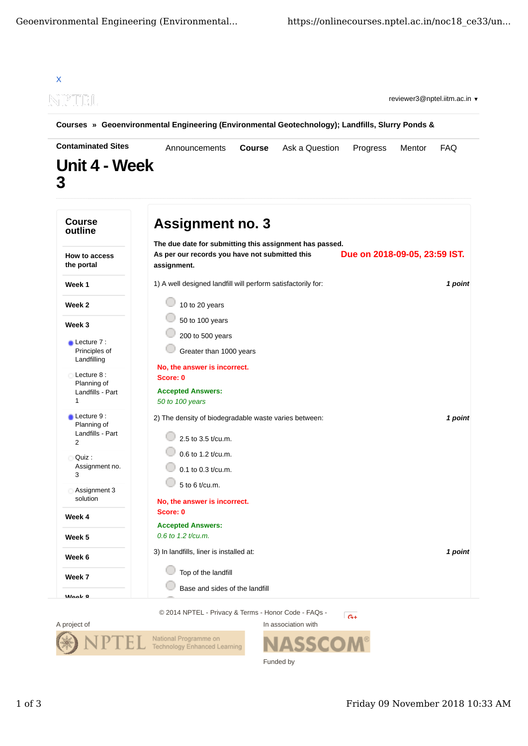

Funded by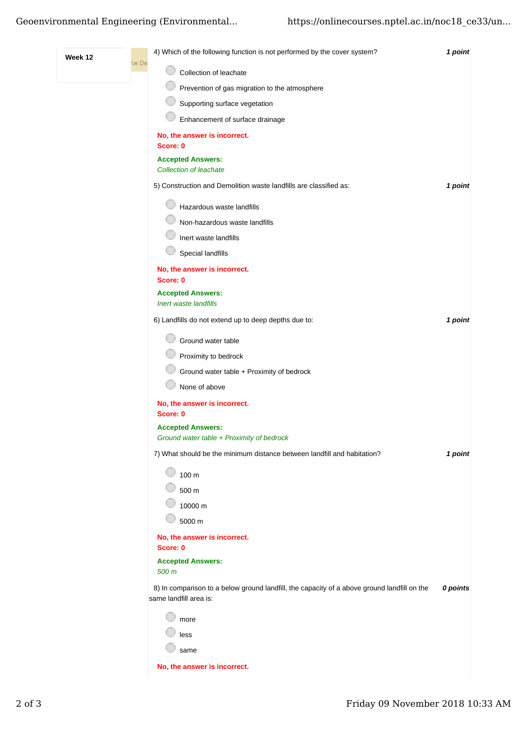## Geoenvironmental Engineering (Environmental... https://onlinecourses.nptel.ac.in/noc18\_ce33/un...

| Week 12 | ce De | 4) Which of the following function is not performed by the cover system?                                              | 1 point  |
|---------|-------|-----------------------------------------------------------------------------------------------------------------------|----------|
|         |       | Collection of leachate                                                                                                |          |
|         |       | Prevention of gas migration to the atmosphere                                                                         |          |
|         |       | Supporting surface vegetation                                                                                         |          |
|         |       | Enhancement of surface drainage                                                                                       |          |
|         |       | No, the answer is incorrect.<br>Score: 0                                                                              |          |
|         |       | <b>Accepted Answers:</b><br><b>Collection of leachate</b>                                                             |          |
|         |       | 5) Construction and Demolition waste landfills are classified as:                                                     | 1 point  |
|         |       | Hazardous waste landfills                                                                                             |          |
|         |       | Non-hazardous waste landfills                                                                                         |          |
|         |       | Inert waste landfills                                                                                                 |          |
|         |       | <b>Special landfills</b>                                                                                              |          |
|         |       | No, the answer is incorrect.<br>Score: 0                                                                              |          |
|         |       | <b>Accepted Answers:</b>                                                                                              |          |
|         |       | Inert waste landfills                                                                                                 |          |
|         |       | 6) Landfills do not extend up to deep depths due to:                                                                  | 1 point  |
|         |       | Ground water table                                                                                                    |          |
|         |       | Proximity to bedrock                                                                                                  |          |
|         |       | Ground water table + Proximity of bedrock                                                                             |          |
|         |       | None of above                                                                                                         |          |
|         |       | No, the answer is incorrect.<br>Score: 0                                                                              |          |
|         |       | <b>Accepted Answers:</b>                                                                                              |          |
|         |       | Ground water table + Proximity of bedrock                                                                             |          |
|         |       | 7) What should be the minimum distance between landfill and habitation?                                               | 1 point  |
|         |       | 100 m                                                                                                                 |          |
|         |       | 500 m                                                                                                                 |          |
|         |       | 10000 m                                                                                                               |          |
|         |       | 5000 m                                                                                                                |          |
|         |       | No, the answer is incorrect.<br>Score: 0                                                                              |          |
|         |       | <b>Accepted Answers:</b>                                                                                              |          |
|         |       | 500 m                                                                                                                 |          |
|         |       | 8) In comparison to a below ground landfill, the capacity of a above ground landfill on the<br>same landfill area is: | 0 points |
|         |       | more                                                                                                                  |          |
|         |       | less                                                                                                                  |          |
|         |       | same                                                                                                                  |          |
|         |       | No, the answer is incorrect.                                                                                          |          |